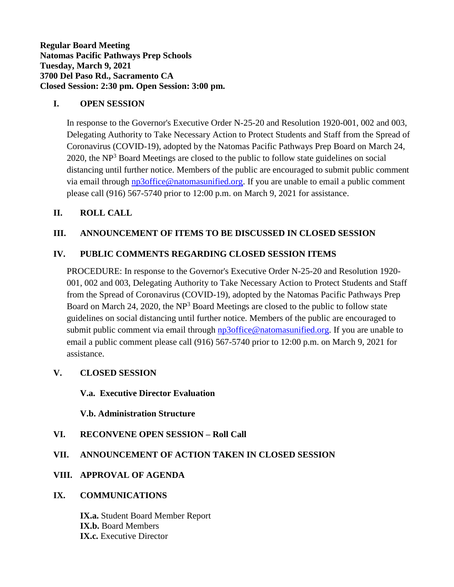**Regular Board Meeting Natomas Pacific Pathways Prep Schools Tuesday, March 9, 2021 3700 Del Paso Rd., Sacramento CA Closed Session: 2:30 pm. Open Session: 3:00 pm.**

# **I. OPEN SESSION**

In response to the Governor's Executive Order N-25-20 and Resolution 1920-001, 002 and 003, Delegating Authority to Take Necessary Action to Protect Students and Staff from the Spread of Coronavirus (COVID-19), adopted by the Natomas Pacific Pathways Prep Board on March 24, 2020, the NP<sup>3</sup> Board Meetings are closed to the public to follow state guidelines on social distancing until further notice. Members of the public are encouraged to submit public comment via email through [np3office@natomasunified.org.](mailto:np3office@natomasunified.org) If you are unable to email a public comment please call (916) 567-5740 prior to 12:00 p.m. on March 9, 2021 for assistance.

# **II. ROLL CALL**

## **III. ANNOUNCEMENT OF ITEMS TO BE DISCUSSED IN CLOSED SESSION**

#### **IV. PUBLIC COMMENTS REGARDING CLOSED SESSION ITEMS**

PROCEDURE: In response to the Governor's Executive Order N-25-20 and Resolution 1920- 001, 002 and 003, Delegating Authority to Take Necessary Action to Protect Students and Staff from the Spread of Coronavirus (COVID-19), adopted by the Natomas Pacific Pathways Prep Board on March 24, 2020, the  $NP<sup>3</sup>$  Board Meetings are closed to the public to follow state guidelines on social distancing until further notice. Members of the public are encouraged to submit public comment via email through **np3office@natomasunified.org**. If you are unable to email a public comment please call (916) 567-5740 prior to 12:00 p.m. on March 9, 2021 for assistance.

# **V. CLOSED SESSION**

#### **V.a. Executive Director Evaluation**

**V.b. Administration Structure**

**VI. RECONVENE OPEN SESSION – Roll Call**

# **VII. ANNOUNCEMENT OF ACTION TAKEN IN CLOSED SESSION**

#### **VIII. APPROVAL OF AGENDA**

#### **IX. COMMUNICATIONS**

**IX.a.** Student Board Member Report **IX.b.** Board Members **IX.c.** Executive Director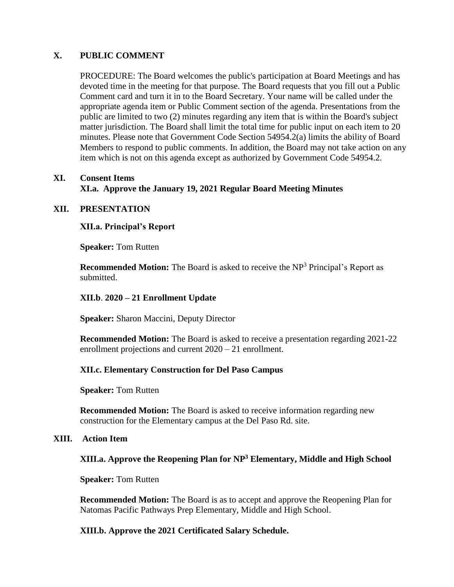# **X. PUBLIC COMMENT**

PROCEDURE: The Board welcomes the public's participation at Board Meetings and has devoted time in the meeting for that purpose. The Board requests that you fill out a Public Comment card and turn it in to the Board Secretary. Your name will be called under the appropriate agenda item or Public Comment section of the agenda. Presentations from the public are limited to two (2) minutes regarding any item that is within the Board's subject matter jurisdiction. The Board shall limit the total time for public input on each item to 20 minutes. Please note that Government Code Section 54954.2(a) limits the ability of Board Members to respond to public comments. In addition, the Board may not take action on any item which is not on this agenda except as authorized by Government Code 54954.2.

# **XI. Consent Items XI.a. Approve the January 19, 2021 Regular Board Meeting Minutes**

## **XII. PRESENTATION**

## **XII.a. Principal's Report**

**Speaker:** Tom Rutten

**Recommended Motion:** The Board is asked to receive the NP<sup>3</sup> Principal's Report as submitted.

### **XII.b**. **2020 – 21 Enrollment Update**

**Speaker:** Sharon Maccini, Deputy Director

**Recommended Motion:** The Board is asked to receive a presentation regarding 2021-22 enrollment projections and current 2020 – 21 enrollment.

#### **XII.c. Elementary Construction for Del Paso Campus**

**Speaker:** Tom Rutten

**Recommended Motion:** The Board is asked to receive information regarding new construction for the Elementary campus at the Del Paso Rd. site.

# **XIII. Action Item**

#### **XIII.a. Approve the Reopening Plan for NP<sup>3</sup> Elementary, Middle and High School**

**Speaker:** Tom Rutten

**Recommended Motion:** The Board is as to accept and approve the Reopening Plan for Natomas Pacific Pathways Prep Elementary, Middle and High School.

#### **XIII.b. Approve the 2021 Certificated Salary Schedule.**